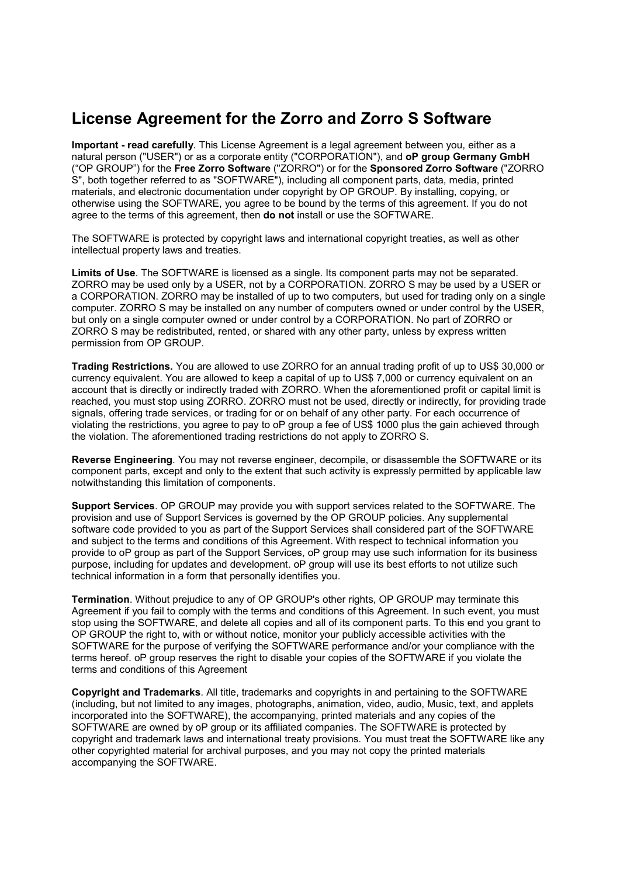## License Agreement for the Zorro and Zorro S Software

Important - read carefully. This License Agreement is a legal agreement between you, either as a natural person ("USER") or as a corporate entity ("CORPORATION"), and **oP group Germany GmbH** ("OP GROUP") for the Free Zorro Software ("ZORRO") or for the Sponsored Zorro Software ("ZORRO S", both together referred to as "SOFTWARE"), including all component parts, data, media, printed materials, and electronic documentation under copyright by OP GROUP. By installing, copying, or otherwise using the SOFTWARE, you agree to be bound by the terms of this agreement. If you do not agree to the terms of this agreement, then do not install or use the SOFTWARE.

The SOFTWARE is protected by copyright laws and international copyright treaties, as well as other intellectual property laws and treaties.

Limits of Use. The SOFTWARE is licensed as a single. Its component parts may not be separated. ZORRO may be used only by a USER, not by a CORPORATION. ZORRO S may be used by a USER or a CORPORATION. ZORRO may be installed of up to two computers, but used for trading only on a single computer. ZORRO S may be installed on any number of computers owned or under control by the USER, but only on a single computer owned or under control by a CORPORATION. No part of ZORRO or ZORRO S may be redistributed, rented, or shared with any other party, unless by express written permission from OP GROUP.

Trading Restrictions. You are allowed to use ZORRO for an annual trading profit of up to US\$ 30,000 or currency equivalent. You are allowed to keep a capital of up to US\$ 7,000 or currency equivalent on an account that is directly or indirectly traded with ZORRO. When the aforementioned profit or capital limit is reached, you must stop using ZORRO. ZORRO must not be used, directly or indirectly, for providing trade signals, offering trade services, or trading for or on behalf of any other party. For each occurrence of violating the restrictions, you agree to pay to oP group a fee of US\$ 1000 plus the gain achieved through the violation. The aforementioned trading restrictions do not apply to ZORRO S.

Reverse Engineering. You may not reverse engineer, decompile, or disassemble the SOFTWARE or its component parts, except and only to the extent that such activity is expressly permitted by applicable law notwithstanding this limitation of components.

Support Services. OP GROUP may provide you with support services related to the SOFTWARE. The provision and use of Support Services is governed by the OP GROUP policies. Any supplemental software code provided to you as part of the Support Services shall considered part of the SOFTWARE and subject to the terms and conditions of this Agreement. With respect to technical information you provide to oP group as part of the Support Services, oP group may use such information for its business purpose, including for updates and development. oP group will use its best efforts to not utilize such technical information in a form that personally identifies you.

Termination. Without prejudice to any of OP GROUP's other rights, OP GROUP may terminate this Agreement if you fail to comply with the terms and conditions of this Agreement. In such event, you must stop using the SOFTWARE, and delete all copies and all of its component parts. To this end you grant to OP GROUP the right to, with or without notice, monitor your publicly accessible activities with the SOFTWARE for the purpose of verifying the SOFTWARE performance and/or your compliance with the terms hereof. oP group reserves the right to disable your copies of the SOFTWARE if you violate the terms and conditions of this Agreement

Copyright and Trademarks. All title, trademarks and copyrights in and pertaining to the SOFTWARE (including, but not limited to any images, photographs, animation, video, audio, Music, text, and applets incorporated into the SOFTWARE), the accompanying, printed materials and any copies of the SOFTWARE are owned by oP group or its affiliated companies. The SOFTWARE is protected by copyright and trademark laws and international treaty provisions. You must treat the SOFTWARE like any other copyrighted material for archival purposes, and you may not copy the printed materials accompanying the SOFTWARE.